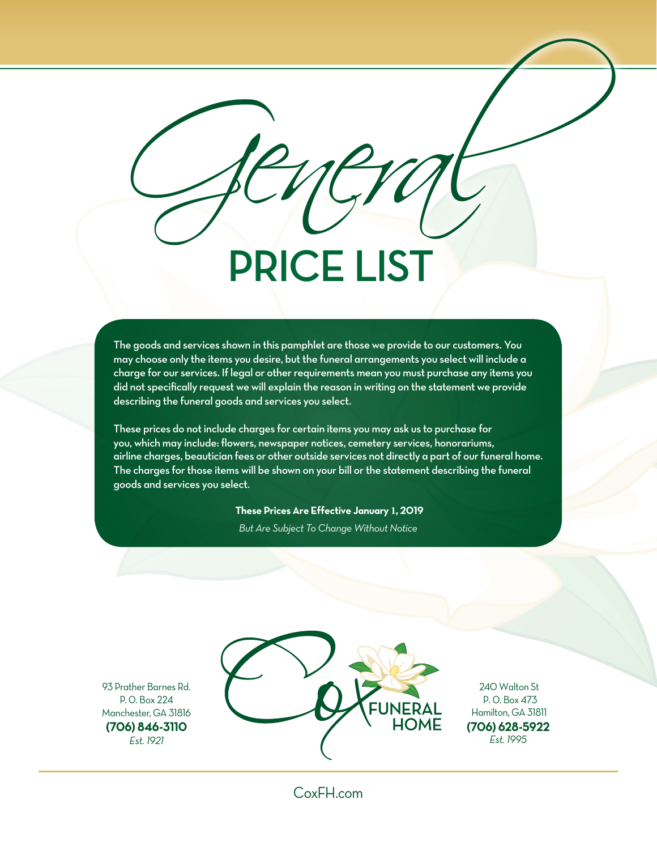# PRICE LIST General

The goods and services shown in this pamphlet are those we provide to our customers. You may choose only the items you desire, but the funeral arrangements you select will include a charge for our services. If legal or other requirements mean you must purchase any items you did not specifically request we will explain the reason in writing on the statement we provide describing the funeral goods and services you select.

These prices do not include charges for certain items you may ask us to purchase for you, which may include: flowers, newspaper notices, cemetery services, honorariums, airline charges, beautician fees or other outside services not directly a part of our funeral home. The charges for those items will be shown on your bill or the statement describing the funeral goods and services you select.

**These Prices Are Effective January 1, 2019**

*But Are Subject To Change Without Notice*

93 Prather Barnes Rd. P. 0. Box 224 Manchester, GA 31816 **(706) 846-3110** *Est. 1921*



240 Walton St P. 0. Box 473 Hamilton, GA 31811 **(706) 628-5922** *Est. 1995*

CoxFH.com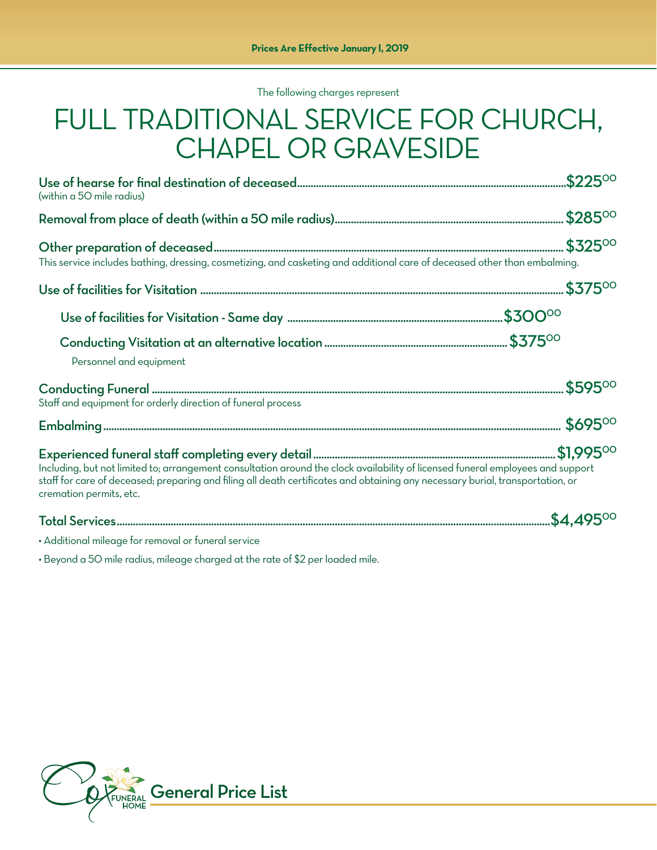The following charges represent

### FULL TRADITIONAL SERVICE FOR CHURCH, CHAPEL OR GRAVESIDE

| (within a 50 mile radius)                                                                                                                                                                                                                                                                    |  |
|----------------------------------------------------------------------------------------------------------------------------------------------------------------------------------------------------------------------------------------------------------------------------------------------|--|
|                                                                                                                                                                                                                                                                                              |  |
| This service includes bathing, dressing, cosmetizing, and casketing and additional care of deceased other than embalming.                                                                                                                                                                    |  |
|                                                                                                                                                                                                                                                                                              |  |
|                                                                                                                                                                                                                                                                                              |  |
| Personnel and equipment                                                                                                                                                                                                                                                                      |  |
| Staff and equipment for orderly direction of funeral process                                                                                                                                                                                                                                 |  |
|                                                                                                                                                                                                                                                                                              |  |
| Including, but not limited to; arrangement consultation around the clock availability of licensed funeral employees and support<br>staff for care of deceased; preparing and filing all death certificates and obtaining any necessary burial, transportation, or<br>cremation permits, etc. |  |
|                                                                                                                                                                                                                                                                                              |  |

• Additional mileage for removal or funeral service

• Beyond a 50 mile radius, mileage charged at the rate of \$2 per loaded mile.

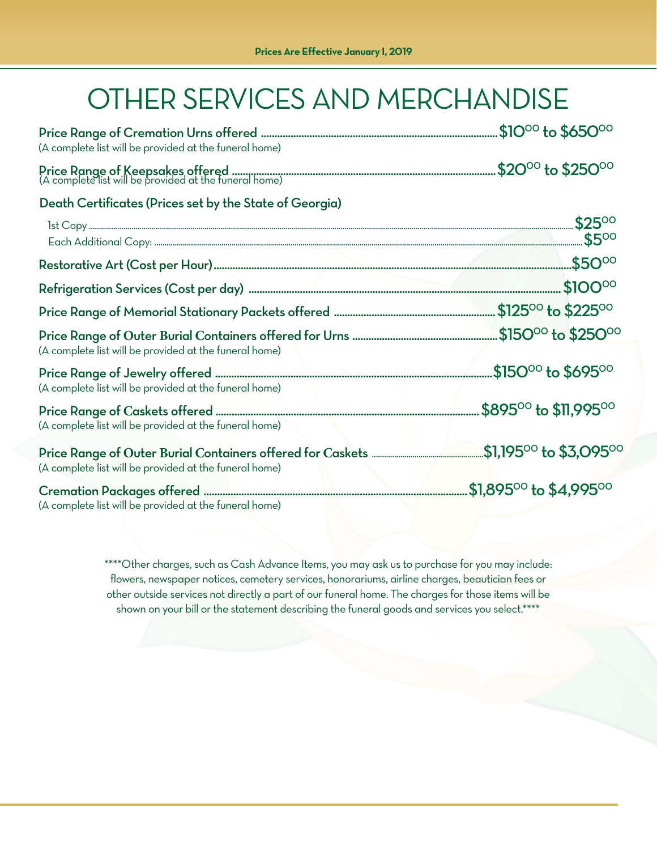# OTHER SERVICES AND MERCHANDISE

| (A complete list will be provided at the funeral home)  |  |
|---------------------------------------------------------|--|
|                                                         |  |
| Death Certificates (Prices set by the State of Georgia) |  |
|                                                         |  |
|                                                         |  |
|                                                         |  |
|                                                         |  |
|                                                         |  |
| (A complete list will be provided at the funeral home)  |  |
| (A complete list will be provided at the funeral home)  |  |
| (A complete list will be provided at the funeral home)  |  |
| (A complete list will be provided at the funeral home)  |  |
| (A complete list will be provided at the funeral home)  |  |

\*\*\*\*Other charges, such as Cash Advance Items, you may ask us to purchase for you may include: flowers, newspaper notices, cemetery services, honorariums, airline charges, beautician fees or other outside services not directly a part of our funeral home. The charges for those items will be shown on your bill or the statement describing the funeral goods and services you select.\*\*\*\*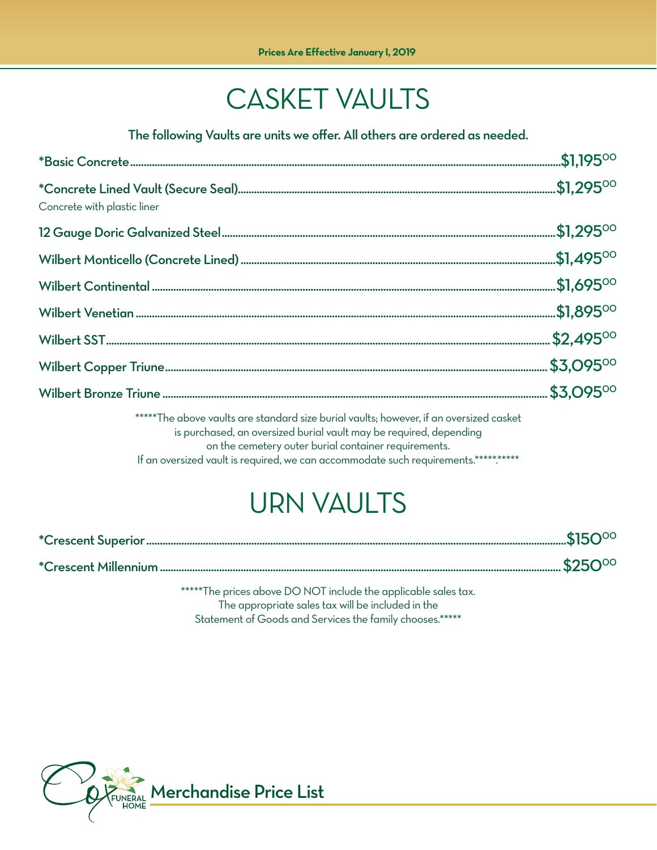## CASKET VAULTS

The following Vaults are units we offer. All others are ordered as needed.

| Concrete with plastic liner                                                                                                                                                                                                                                                                                |  |
|------------------------------------------------------------------------------------------------------------------------------------------------------------------------------------------------------------------------------------------------------------------------------------------------------------|--|
|                                                                                                                                                                                                                                                                                                            |  |
|                                                                                                                                                                                                                                                                                                            |  |
|                                                                                                                                                                                                                                                                                                            |  |
|                                                                                                                                                                                                                                                                                                            |  |
|                                                                                                                                                                                                                                                                                                            |  |
|                                                                                                                                                                                                                                                                                                            |  |
|                                                                                                                                                                                                                                                                                                            |  |
| *****The above vaults are standard size burial vaults; however, if an oversized casket<br>is purchased, an oversized burial vault may be required, depending<br>on the cemetery outer burial container requirements.<br>If an oversized vault is required, we can accommodate such requirements.********** |  |

## URN VAULTS

\*\*\*\*\*The prices above DO NOT include the applicable sales tax. The appropriate sales tax will be included in the Statement of Goods and Services the family chooses.\*\*\*\*\*

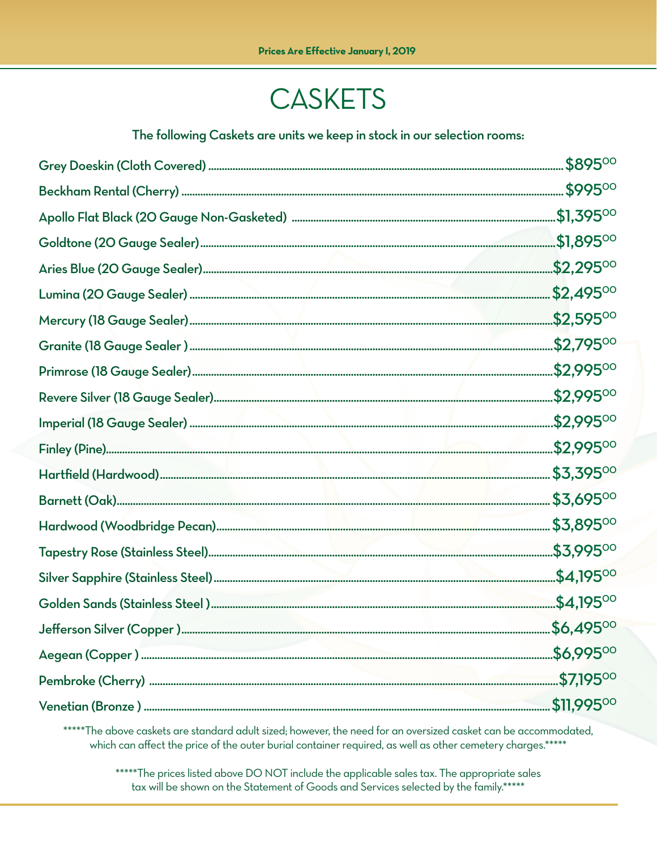## **CASKETS**

The following Caskets are units we keep in stock in our selection rooms:

\*\*\*\*\*The above caskets are standard adult sized; however, the need for an oversized casket can be accommodated, which can affect the price of the outer burial container required, as well as other cemetery charges.\*\*\*\*\*

\*\*\*\*\*The prices listed above DO NOT include the applicable sales tax. The appropriate sales tax will be shown on the Statement of Goods and Services selected by the family.\*\*\*\*\*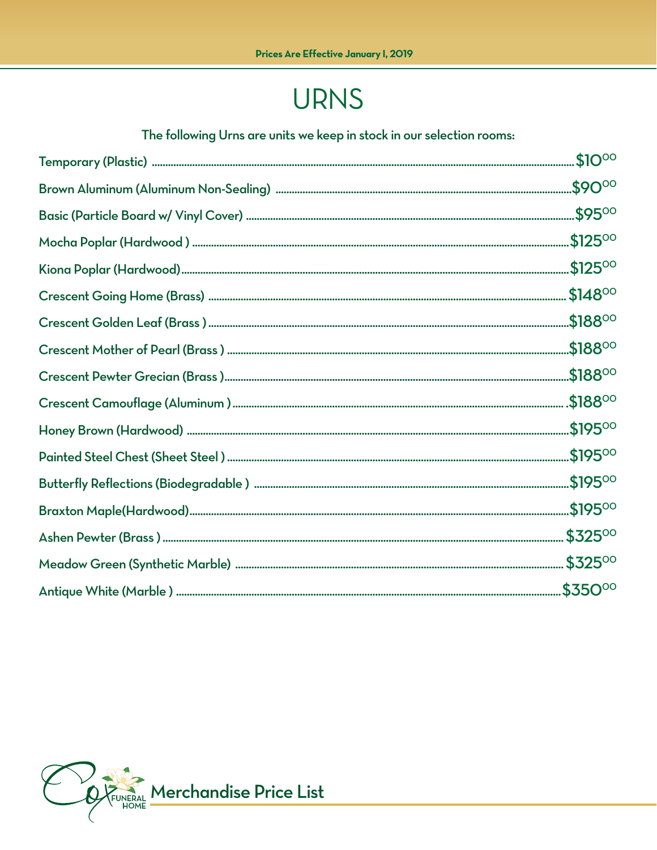## **URNS**

#### The following Urns are units we keep in stock in our selection rooms:

|                                                                                                                                                                                                                                                                                                                                                                                                                                                                                                            | \$9000               |
|------------------------------------------------------------------------------------------------------------------------------------------------------------------------------------------------------------------------------------------------------------------------------------------------------------------------------------------------------------------------------------------------------------------------------------------------------------------------------------------------------------|----------------------|
|                                                                                                                                                                                                                                                                                                                                                                                                                                                                                                            |                      |
|                                                                                                                                                                                                                                                                                                                                                                                                                                                                                                            |                      |
|                                                                                                                                                                                                                                                                                                                                                                                                                                                                                                            |                      |
| $\textbf{Cresent Going Home (Brass)}\textcolor{red}{\textbf{}}\textcolor{red}{\textbf{}}\textcolor{red}{\textbf{}}\textcolor{red}{\textbf{}}\textcolor{red}{\textbf{}}\textcolor{red}{\textbf{}}\textcolor{red}{\textbf{}}\textcolor{red}{\textbf{}}\textcolor{red}{\textbf{}}\textcolor{red}{\textbf{}}\textcolor{red}{\textbf{}}\textcolor{red}{\textbf{}}\textcolor{red}{\textbf{}}\textcolor{red}{\textbf{}}\textcolor{red}{\textbf{}}\textcolor{red}{\textbf{}}\textcolor{red}{\textbf{}}\textcolor{$ |                      |
|                                                                                                                                                                                                                                                                                                                                                                                                                                                                                                            |                      |
|                                                                                                                                                                                                                                                                                                                                                                                                                                                                                                            |                      |
|                                                                                                                                                                                                                                                                                                                                                                                                                                                                                                            |                      |
|                                                                                                                                                                                                                                                                                                                                                                                                                                                                                                            |                      |
|                                                                                                                                                                                                                                                                                                                                                                                                                                                                                                            |                      |
|                                                                                                                                                                                                                                                                                                                                                                                                                                                                                                            |                      |
|                                                                                                                                                                                                                                                                                                                                                                                                                                                                                                            |                      |
|                                                                                                                                                                                                                                                                                                                                                                                                                                                                                                            | $.$ \$195 $^{\circ}$ |
|                                                                                                                                                                                                                                                                                                                                                                                                                                                                                                            | \$32500              |
|                                                                                                                                                                                                                                                                                                                                                                                                                                                                                                            |                      |
|                                                                                                                                                                                                                                                                                                                                                                                                                                                                                                            |                      |

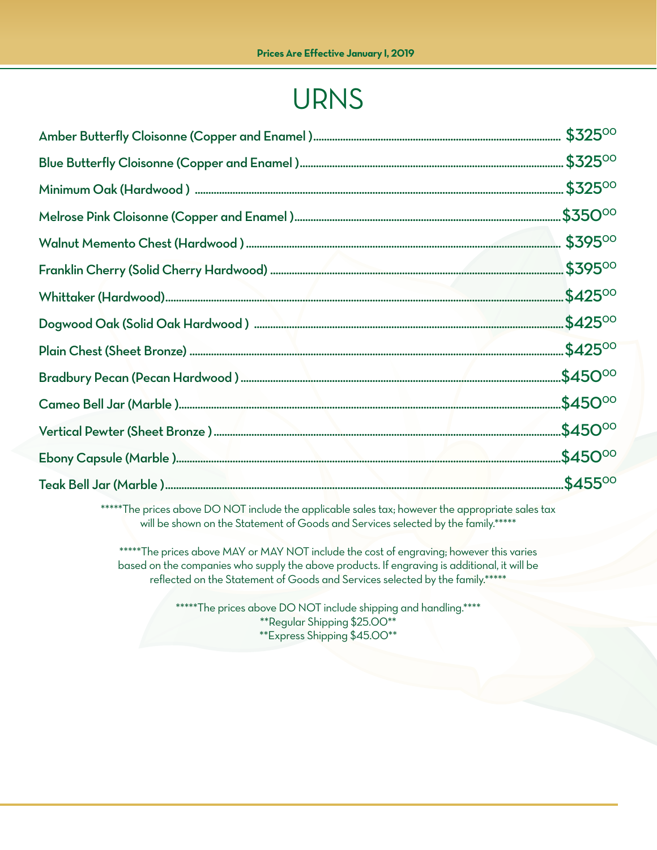## URNS

\*\*\*\*\*The prices above DO NOT include the applicable sales tax; however the appropriate sales tax will be shown on the Statement of Goods and Services selected by the family.\*\*\*\*\*

\*\*\*\*\*The prices above MAY or MAY NOT include the cost of engraving; however this varies based on the companies who supply the above products. If engraving is additional, it will be reflected on the Statement of Goods and Services selected by the family.\*\*\*\*\*

> \*\*\*\*\*The prices above DO NOT include shipping and handling.\*\*\*\* \*\*Regular Shipping \$25.00\*\* \*\*Express Shipping \$45.00\*\*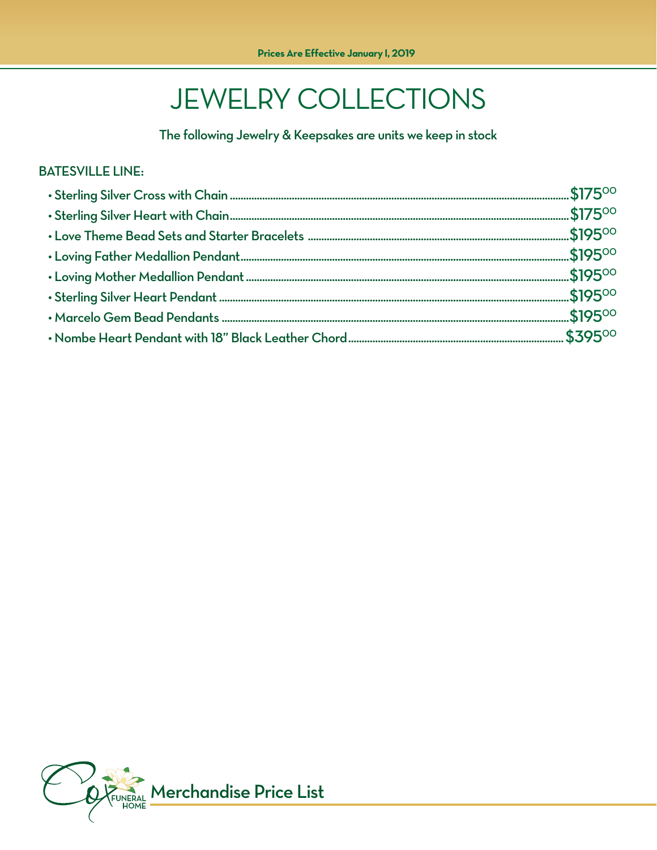## **JEWELRY COLLECTIONS**

The following Jewelry & Keepsakes are units we keep in stock

#### **BATESVILLE LINE:**

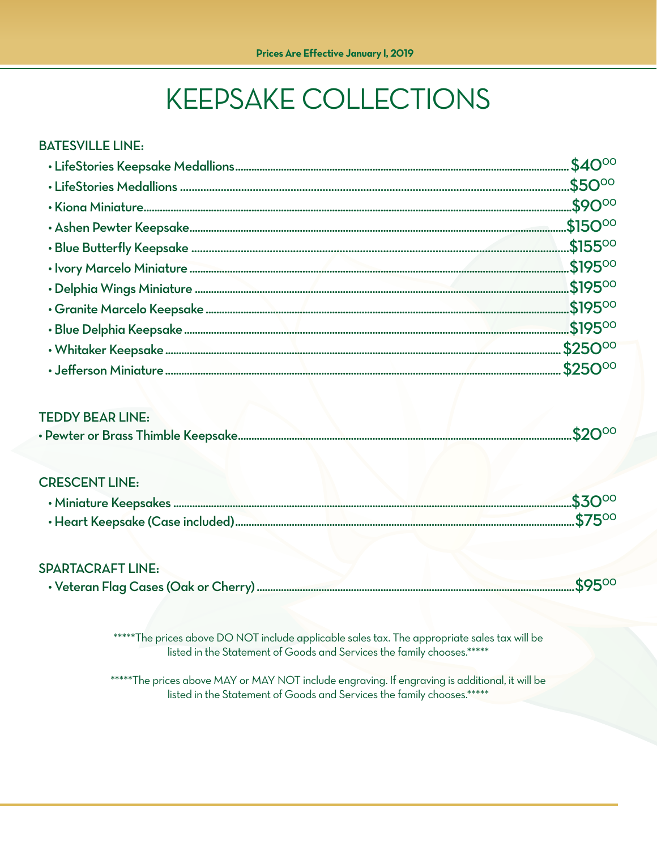# **KEEPSAKE COLLECTIONS**

#### **BATESVILLE LINE:**

#### **TEDDY BEAR LINE:**

|--|--|

#### **CRESCENT LINE:**

#### **SPARTACRAFT LINE:**

|  | CDEOO |
|--|-------|
|--|-------|

\*\*\*\*\*The prices above DO NOT include applicable sales tax. The appropriate sales tax will be listed in the Statement of Goods and Services the family chooses.\*\*\*\*\*

\*\*\*\*\*The prices above MAY or MAY NOT include engraving. If engraving is additional, it will be listed in the Statement of Goods and Services the family chooses.\*\*\*\*\*